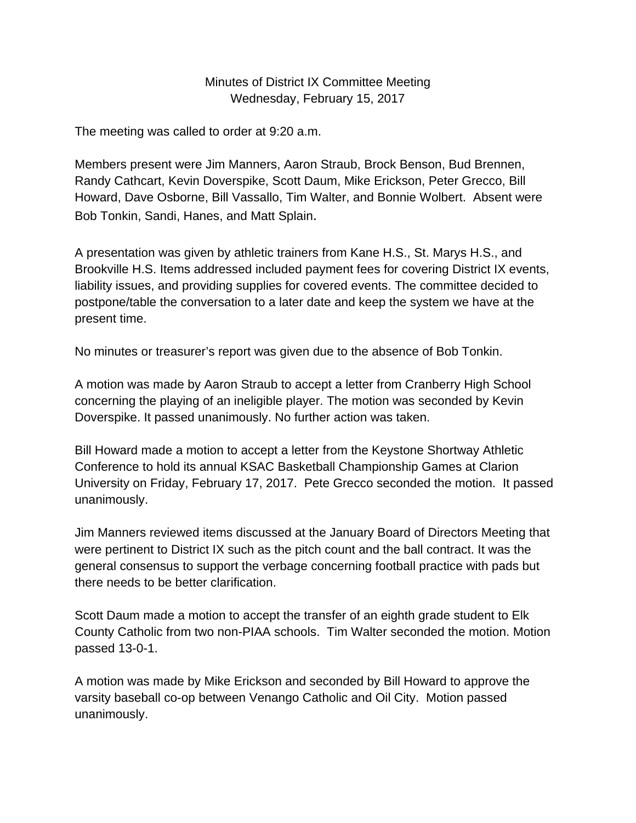## Minutes of District IX Committee Meeting Wednesday, February 15, 2017

The meeting was called to order at 9:20 a.m.

Members present were Jim Manners, Aaron Straub, Brock Benson, Bud Brennen, Randy Cathcart, Kevin Doverspike, Scott Daum, Mike Erickson, Peter Grecco, Bill Howard, Dave Osborne, Bill Vassallo, Tim Walter, and Bonnie Wolbert. Absent were Bob Tonkin, Sandi, Hanes, and Matt Splain.

A presentation was given by athletic trainers from Kane H.S., St. Marys H.S., and Brookville H.S. Items addressed included payment fees for covering District IX events, liability issues, and providing supplies for covered events. The committee decided to postpone/table the conversation to a later date and keep the system we have at the present time.

No minutes or treasurer's report was given due to the absence of Bob Tonkin.

A motion was made by Aaron Straub to accept a letter from Cranberry High School concerning the playing of an ineligible player. The motion was seconded by Kevin Doverspike. It passed unanimously. No further action was taken.

Bill Howard made a motion to accept a letter from the Keystone Shortway Athletic Conference to hold its annual KSAC Basketball Championship Games at Clarion University on Friday, February 17, 2017. Pete Grecco seconded the motion. It passed unanimously.

Jim Manners reviewed items discussed at the January Board of Directors Meeting that were pertinent to District IX such as the pitch count and the ball contract. It was the general consensus to support the verbage concerning football practice with pads but there needs to be better clarification.

Scott Daum made a motion to accept the transfer of an eighth grade student to Elk County Catholic from two non-PIAA schools. Tim Walter seconded the motion. Motion passed 13-0-1.

A motion was made by Mike Erickson and seconded by Bill Howard to approve the varsity baseball co-op between Venango Catholic and Oil City. Motion passed unanimously.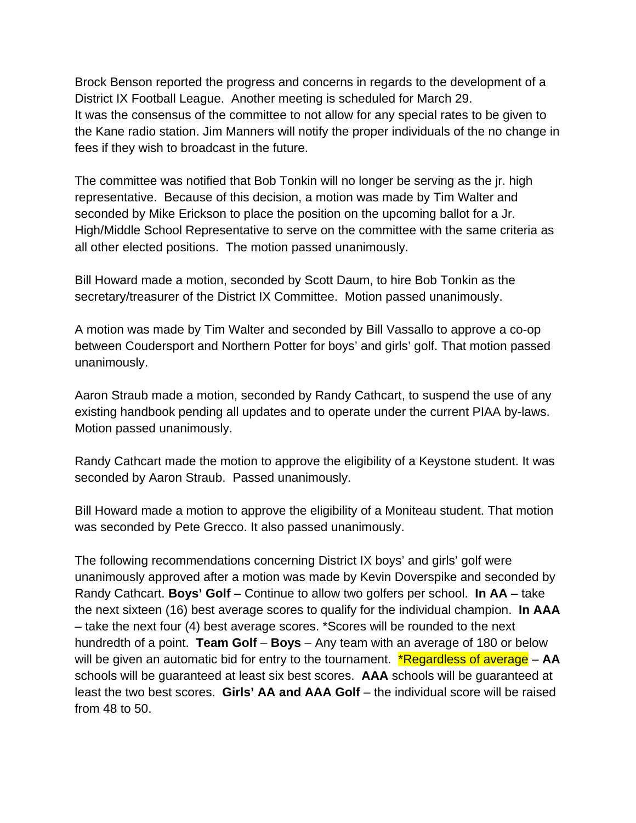Brock Benson reported the progress and concerns in regards to the development of a District IX Football League. Another meeting is scheduled for March 29. It was the consensus of the committee to not allow for any special rates to be given to the Kane radio station. Jim Manners will notify the proper individuals of the no change in fees if they wish to broadcast in the future.

The committee was notified that Bob Tonkin will no longer be serving as the jr. high representative. Because of this decision, a motion was made by Tim Walter and seconded by Mike Erickson to place the position on the upcoming ballot for a Jr. High/Middle School Representative to serve on the committee with the same criteria as all other elected positions. The motion passed unanimously.

Bill Howard made a motion, seconded by Scott Daum, to hire Bob Tonkin as the secretary/treasurer of the District IX Committee. Motion passed unanimously.

A motion was made by Tim Walter and seconded by Bill Vassallo to approve a co-op between Coudersport and Northern Potter for boys' and girls' golf. That motion passed unanimously.

Aaron Straub made a motion, seconded by Randy Cathcart, to suspend the use of any existing handbook pending all updates and to operate under the current PIAA by-laws. Motion passed unanimously.

Randy Cathcart made the motion to approve the eligibility of a Keystone student. It was seconded by Aaron Straub. Passed unanimously.

Bill Howard made a motion to approve the eligibility of a Moniteau student. That motion was seconded by Pete Grecco. It also passed unanimously.

The following recommendations concerning District IX boys' and girls' golf were unanimously approved after a motion was made by Kevin Doverspike and seconded by Randy Cathcart. **Boys' Golf** – Continue to allow two golfers per school. **In AA** – take the next sixteen (16) best average scores to qualify for the individual champion. **In AAA** – take the next four (4) best average scores. \*Scores will be rounded to the next hundredth of a point. **Team Golf** – **Boys** – Any team with an average of 180 or below will be given an automatic bid for entry to the tournament. \*Regardless of average – **AA**  schools will be guaranteed at least six best scores. **AAA** schools will be guaranteed at least the two best scores. **Girls' AA and AAA Golf** – the individual score will be raised from 48 to 50.